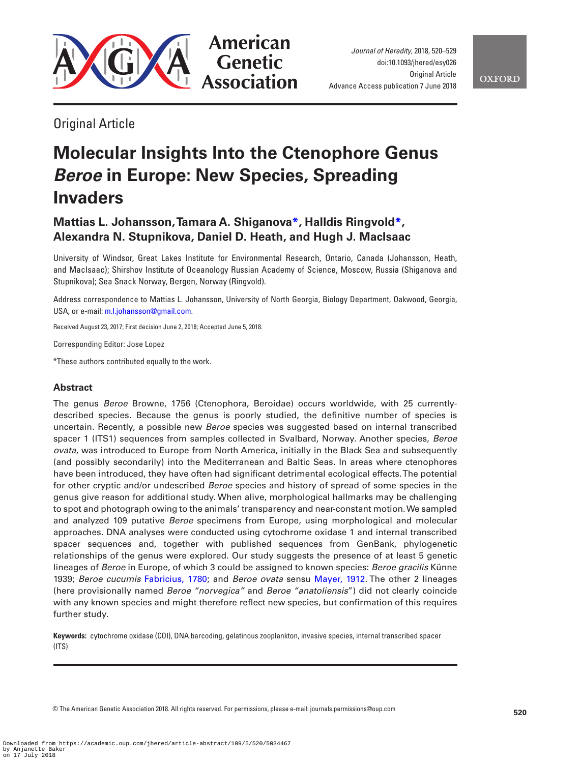

*Journal of Heredity*, 2018, 520–529 doi:10.1093/jhered/esy026 **Original Article** Advance Access publication 7 June 2018

Original Article

# **Molecular Insights Into the Ctenophore Genus**  *Beroe* **in Europe: New Species, Spreading Invaders**

## **Mattias L. Johansson, Tamara A. Shiganov[a\\*](#page-0-0), Halldis Ringvold[\\*,](#page-0-0) Alexandra N. Stupnikova, Daniel D. Heath, and Hugh J. MacIsaac**

University of Windsor, Great Lakes Institute for Environmental Research, Ontario, Canada (Johansson, Heath, and MacIsaac); Shirshov Institute of Oceanology Russian Academy of Science, Moscow, Russia (Shiganova and Stupnikova); Sea Snack Norway, Bergen, Norway (Ringvold).

Address correspondence to Mattias L. Johansson, University of North Georgia, Biology Department, Oakwood, Georgia, USA, or e-mail: [m.l.johansson@gmail.com.](mailto:m.l.johansson@gmail.com?subject=)

Received August 23, 2017; First decision June 2, 2018; Accepted June 5, 2018.

Corresponding Editor: Jose Lopez

<span id="page-0-0"></span>\*These authors contributed equally to the work.

### **Abstract**

The genus *Beroe* Browne, 1756 (Ctenophora, Beroidae) occurs worldwide, with 25 currentlydescribed species. Because the genus is poorly studied, the definitive number of species is uncertain. Recently, a possible new *Beroe* species was suggested based on internal transcribed spacer 1 (ITS1) sequences from samples collected in Svalbard, Norway. Another species, *Beroe ovata*, was introduced to Europe from North America, initially in the Black Sea and subsequently (and possibly secondarily) into the Mediterranean and Baltic Seas. In areas where ctenophores have been introduced, they have often had significant detrimental ecological effects. The potential for other cryptic and/or undescribed *Beroe* species and history of spread of some species in the genus give reason for additional study. When alive, morphological hallmarks may be challenging to spot and photograph owing to the animals' transparency and near-constant motion. We sampled and analyzed 109 putative *Beroe* specimens from Europe, using morphological and molecular approaches. DNA analyses were conducted using cytochrome oxidase 1 and internal transcribed spacer sequences and, together with published sequences from GenBank, phylogenetic relationships of the genus were explored. Our study suggests the presence of at least 5 genetic lineages of *Beroe* in Europe, of which 3 could be assigned to known species: *Beroe gracilis* Künne 1939; *Beroe cucumis* [Fabricius, 1780](#page-8-0); and *Beroe ovata* sensu [Mayer, 1912](#page-8-1). The other 2 lineages (here provisionally named *Beroe "norvegica"* and *Beroe "anatoliensis*") did not clearly coincide with any known species and might therefore reflect new species, but confirmation of this requires further study.

**Keywords:** cytochrome oxidase (COI), DNA barcoding, gelatinous zooplankton, invasive species, internal transcribed spacer (ITS)

© The American Genetic Association 2018. All rights reserved. For permissions, please e-mail: journals.permissions@oup.com **<sup>520</sup>**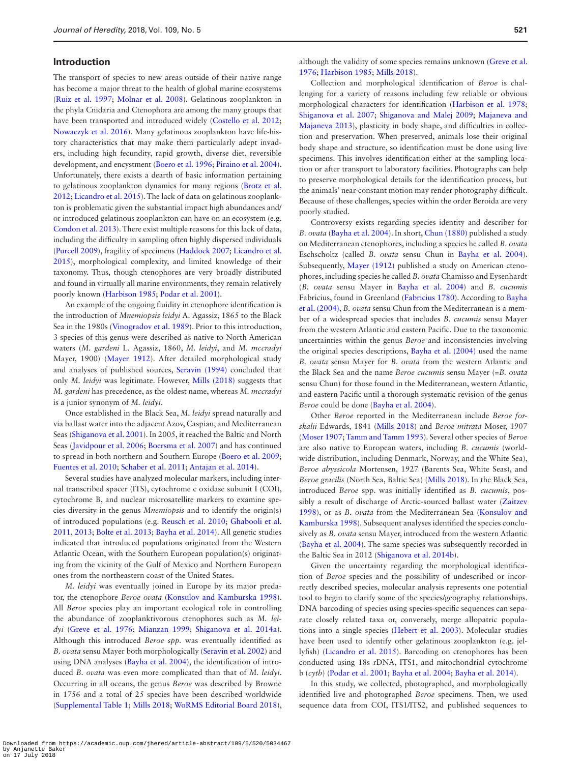#### **Introduction**

The transport of species to new areas outside of their native range has become a major threat to the health of global marine ecosystems [\(Ruiz et al. 1997;](#page-9-0) [Molnar et al. 2008\)](#page-9-1). Gelatinous zooplankton in the phyla Cnidaria and Ctenophora are among the many groups that have been transported and introduced widely ([Costello et al. 2012](#page-8-2); [Nowaczyk et al. 2016](#page-9-2)). Many gelatinous zooplankton have life-history characteristics that may make them particularly adept invaders, including high fecundity, rapid growth, diverse diet, reversible development, and encystment ([Boero et al. 1996;](#page-8-3) [Piraino et al. 2004](#page-9-3)). Unfortunately, there exists a dearth of basic information pertaining to gelatinous zooplankton dynamics for many regions ([Brotz et al.](#page-8-4)  [2012](#page-8-4); [Licandro et al. 2015](#page-8-5)). The lack of data on gelatinous zooplankton is problematic given the substantial impact high abundances and/ or introduced gelatinous zooplankton can have on an ecosystem (e.g. [Condon et al. 2013](#page-8-6)). There exist multiple reasons for this lack of data, including the difficulty in sampling often highly dispersed individuals [\(Purcell 2009](#page-9-4)), fragility of specimens ([Haddock 2007](#page-8-7); [Licandro et al.](#page-8-5)  [2015](#page-8-5)), morphological complexity, and limited knowledge of their taxonomy. Thus, though ctenophores are very broadly distributed and found in virtually all marine environments, they remain relatively poorly known ([Harbison 1985;](#page-8-8) [Podar et al. 2001\)](#page-9-5).

An example of the ongoing fluidity in ctenophore identification is the introduction of *Mnemiopsis leidyi* A. Agassiz, 1865 to the Black Sea in the 1980s [\(Vinogradov et al. 1989\)](#page-9-6). Prior to this introduction, 3 species of this genus were described as native to North American waters (*M. gardeni* L. Agassiz, 1860, *M. leidyi*, and *M. mccradyi* Mayer, 1900) ([Mayer 1912](#page-8-1)). After detailed morphological study and analyses of published sources, [Seravin \(1994\)](#page-9-7) concluded that only *M. leidyi* was legitimate. However, [Mills \(2018\)](#page-9-8) suggests that *M. gardeni* has precedence, as the oldest name, whereas *M. mccradyi* is a junior synonym of *M. leidyi*.

Once established in the Black Sea, *M. leidyi* spread naturally and via ballast water into the adjacent Azov, Caspian, and Mediterranean Seas ([Shiganova et al. 2001\)](#page-9-9). In 2005, it reached the Baltic and North Seas [\(Javidpour et al. 2006](#page-8-9); [Boersma et al. 2007\)](#page-8-10) and has continued to spread in both northern and Southern Europe [\(Boero et al. 2009](#page-8-11); [Fuentes et al. 2010;](#page-8-12) [Schaber et al. 2011](#page-9-10); [Antajan et al. 2014\)](#page-8-13).

Several studies have analyzed molecular markers, including internal transcribed spacer (ITS), cytochrome c oxidase subunit I (COI), cytochrome B, and nuclear microsatellite markers to examine species diversity in the genus *Mnemiopsis* and to identify the origin(s) of introduced populations (e.g. [Reusch et al. 2010](#page-9-11); [Ghabooli et al.](#page-8-14)  [2011](#page-8-14), [2013](#page-8-15); [Bolte et al. 2013](#page-8-16); [Bayha et al. 2014\)](#page-8-17). All genetic studies indicated that introduced populations originated from the Western Atlantic Ocean, with the Southern European population(s) originating from the vicinity of the Gulf of Mexico and Northern European ones from the northeastern coast of the United States.

*M. leidyi* was eventually joined in Europe by its major predator, the ctenophore *Beroe ovata* ([Konsulov and Kamburska 1998](#page-8-18)). All *Beroe* species play an important ecological role in controlling the abundance of zooplanktivorous ctenophores such as *M. leidyi* ([Greve et al. 1976](#page-8-19); [Mianzan 1999](#page-8-20); [Shiganova et al. 2014a](#page-9-12)). Although this introduced *Beroe spp.* was eventually identified as *B. ovata* sensu Mayer both morphologically [\(Seravin et al. 2002](#page-9-13)) and using DNA analyses [\(Bayha et al. 2004](#page-8-21)), the identification of introduced *B. ovata* was even more complicated than that of *M. leidyi*. Occurring in all oceans, the genus *Beroe* was described by Browne in 1756 and a total of 25 species have been described worldwide [\(Supplemental Table 1;](http://academic.oup.com/jhered/article-lookup/doi/10.1093/jhered/esy026#supplementary-data) [Mills 2018](#page-9-8); [WoRMS Editorial Board 2018](#page-9-14)), although the validity of some species remains unknown ([Greve et al.](#page-8-19)  [1976](#page-8-19); [Harbison 1985](#page-8-8); [Mills 2018\)](#page-9-8).

Collection and morphological identification of *Beroe* is challenging for a variety of reasons including few reliable or obvious morphological characters for identification ([Harbison et al. 1978](#page-8-22); [Shiganova et al. 2007;](#page-9-15) [Shiganova and Malej 2009;](#page-9-16) [Majaneva and](#page-8-23)  [Majaneva 2013](#page-8-23)), plasticity in body shape, and difficulties in collection and preservation. When preserved, animals lose their original body shape and structure, so identification must be done using live specimens. This involves identification either at the sampling location or after transport to laboratory facilities. Photographs can help to preserve morphological details for the identification process, but the animals' near-constant motion may render photography difficult. Because of these challenges, species within the order Beroida are very poorly studied.

Controversy exists regarding species identity and describer for *B. ovata* [\(Bayha et al. 2004](#page-8-21)). In short, [Chun \(1880\)](#page-8-24) published a study on Mediterranean ctenophores, including a species he called *B. ovata* Eschscholtz (called *B. ovata* sensu Chun in [Bayha et al. 2004](#page-8-21)). Subsequently, [Mayer \(1912\)](#page-8-1) published a study on American ctenophores, including species he called *B. ovata* Chamisso and Eysenhardt (*B. ovata* sensu Mayer in [Bayha et al. 2004](#page-8-21)) and *B. cucumis* Fabricius, found in Greenland [\(Fabricius 1780\)](#page-8-0). According to [Bayha](#page-8-21)  [et al. \(2004\),](#page-8-21) *B. ovata* sensu Chun from the Mediterranean is a member of a widespread species that includes *B. cucumis* sensu Mayer from the western Atlantic and eastern Pacific. Due to the taxonomic uncertainties within the genus *Beroe* and inconsistencies involving the original species descriptions, [Bayha et al. \(2004\)](#page-8-21) used the name *B. ovata* sensu Mayer for *B. ovata* from the western Atlantic and the Black Sea and the name *Beroe cucumis* sensu Mayer (=*B. ovata* sensu Chun) for those found in the Mediterranean, western Atlantic, and eastern Pacific until a thorough systematic revision of the genus *Beroe* could be done [\(Bayha et al. 2004](#page-8-21)).

Other *Beroe* reported in the Mediterranean include *Beroe forskalii* Edwards, 1841 [\(Mills 2018\)](#page-9-8) and *Beroe mitrata* Moser, 1907 [\(Moser 1907](#page-9-17); [Tamm and Tamm 1993](#page-9-18)). Several other species of *Beroe* are also native to European waters, including *B. cucumis* (worldwide distribution, including Denmark, Norway, and the White Sea), *Beroe abyssicola* Mortensen, 1927 (Barents Sea, White Seas), and *Beroe gracilis* (North Sea, Baltic Sea) ([Mills 2018](#page-9-8)). In the Black Sea, introduced *Beroe* spp. was initially identified as *B. cucumis*, possibly a result of discharge of Arctic-sourced ballast water ([Zaitzev](#page-9-19)  [1998](#page-9-19)), or as *B. ovata* from the Mediterranean Sea ([Konsulov and](#page-8-18)  [Kamburska 1998](#page-8-18)). Subsequent analyses identified the species conclusively as *B. ovata* sensu Mayer, introduced from the western Atlantic [\(Bayha et al. 2004](#page-8-21)). The same species was subsequently recorded in the Baltic Sea in 2012 ([Shiganova et al. 2014b\)](#page-9-20).

Given the uncertainty regarding the morphological identification of *Beroe* species and the possibility of undescribed or incorrectly described species, molecular analysis represents one potential tool to begin to clarify some of the species/geography relationships. DNA barcoding of species using species-specific sequences can separate closely related taxa or, conversely, merge allopatric populations into a single species ([Hebert et al. 2003](#page-8-25)). Molecular studies have been used to identify other gelatinous zooplankton (e.g. jellyfish) [\(Licandro et al. 2015](#page-8-5)). Barcoding on ctenophores has been conducted using 18s rDNA, ITS1, and mitochondrial cytochrome b (*cytb*) [\(Podar et al. 2001](#page-9-5); [Bayha et al. 2004;](#page-8-21) [Bayha et al. 2014\)](#page-8-17).

In this study, we collected, photographed, and morphologically identified live and photographed *Beroe* specimens. Then, we used sequence data from COI, ITS1/ITS2, and published sequences to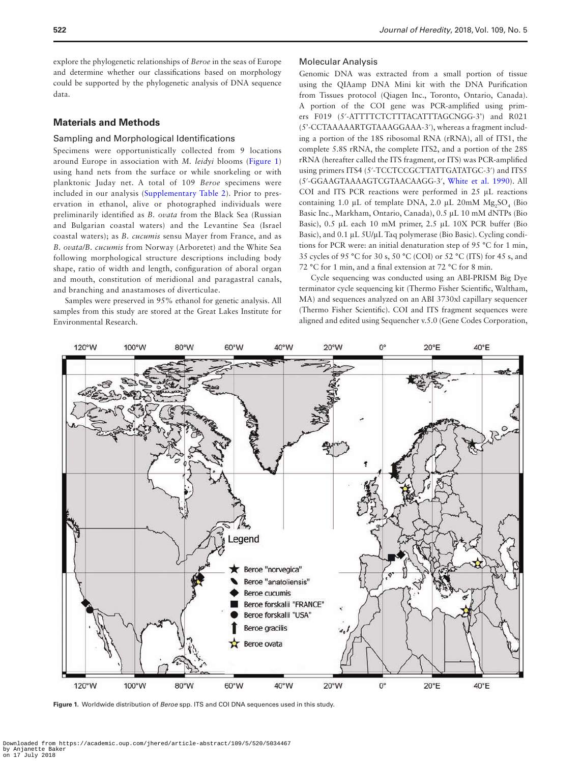explore the phylogenetic relationships of *Beroe* in the seas of Europe and determine whether our classifications based on morphology could be supported by the phylogenetic analysis of DNA sequence data.

#### **Materials and Methods**

#### Sampling and Morphological Identifications

Specimens were opportunistically collected from 9 locations around Europe in association with *M. leidyi* blooms [\(Figure 1\)](#page-2-0) using hand nets from the surface or while snorkeling or with planktonic Juday net. A total of 109 *Beroe* specimens were included in our analysis ([Supplementary Table 2\)](http://academic.oup.com/jhered/article-lookup/doi/10.1093/jhered/esy026#supplementary-data). Prior to preservation in ethanol, alive or photographed individuals were preliminarily identified as *B. ovata* from the Black Sea (Russian and Bulgarian coastal waters) and the Levantine Sea (Israel coastal waters); as *B. cucumis* sensu Mayer from France, and as *B. ovata/B. cucumis* from Norway (Arboretet) and the White Sea following morphological structure descriptions including body shape, ratio of width and length, configuration of aboral organ and mouth, constitution of meridional and paragastral canals, and branching and anastamoses of diverticulae.

Samples were preserved in 95% ethanol for genetic analysis. All samples from this study are stored at the Great Lakes Institute for Environmental Research.

#### Molecular Analysis

Genomic DNA was extracted from a small portion of tissue using the QIAamp DNA Mini kit with the DNA Purification from Tissues protocol (Qiagen Inc., Toronto, Ontario, Canada). A portion of the COI gene was PCR-amplified using primers F019 (5′-ATTTTCTCTTTACATTTAGCNGG-3') and R021 (5'-CCTAAAAARTGTAAAGGAAA-3′), whereas a fragment including a portion of the 18S ribosomal RNA (rRNA), all of ITS1, the complete 5.8S rRNA, the complete ITS2, and a portion of the 28S rRNA (hereafter called the ITS fragment, or ITS) was PCR-amplified using primers ITS4 (5′-TCCTCCGCTTATTGATATGC-3′) and ITS5 (5′-GGAAGTAAAAGTCGTAACAAGG-3′, [White et al. 1990\)](#page-9-21). All COI and ITS PCR reactions were performed in 25 μL reactions containing 1.0  $\mu$ L of template DNA, 2.0  $\mu$ L 20mM  $Mg_2SO_4$  (Bio Basic Inc., Markham, Ontario, Canada), 0.5 μL 10 mM dNTPs (Bio Basic), 0.5 μL each 10 mM primer, 2.5 μL 10X PCR buffer (Bio Basic), and 0.1 μL 5U/μL Taq polymerase (Bio Basic). Cycling conditions for PCR were: an initial denaturation step of 95 °C for 1 min, 35 cycles of 95 °C for 30 s, 50 °C (COI) or 52 °C (ITS) for 45 s, and 72 °C for 1 min, and a final extension at 72 °C for 8 min.

Cycle sequencing was conducted using an ABI-PRISM Big Dye terminator cycle sequencing kit (Thermo Fisher Scientific, Waltham, MA) and sequences analyzed on an ABI 3730xl capillary sequencer (Thermo Fisher Scientific). COI and ITS fragment sequences were aligned and edited using Sequencher v.5.0 (Gene Codes Corporation,



<span id="page-2-0"></span>**Figure 1.** Worldwide distribution of *Beroe* spp. ITS and COI DNA sequences used in this study.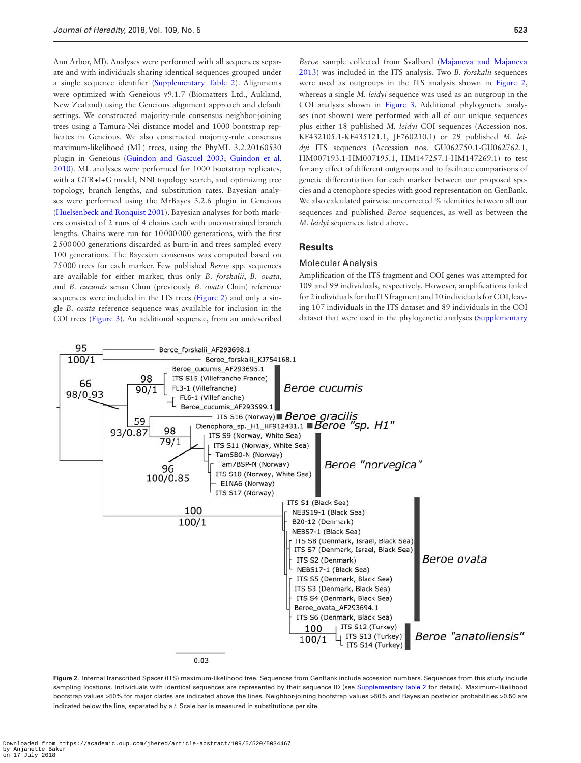Ann Arbor, MI). Analyses were performed with all sequences separate and with individuals sharing identical sequences grouped under a single sequence identifier [\(Supplementary Table 2](http://academic.oup.com/jhered/article-lookup/doi/10.1093/jhered/esy026#supplementary-data)). Alignments were optimized with Geneious v9.1.7 (Biomatters Ltd., Aukland, New Zealand) using the Geneious alignment approach and default settings. We constructed majority-rule consensus neighbor-joining trees using a Tamura-Nei distance model and 1000 bootstrap replicates in Geneious. We also constructed majority-rule consensus maximum-likelihood (ML) trees, using the PhyML 3.2.20160530 plugin in Geneious [\(Guindon and Gascuel 2003;](#page-8-26) [Guindon et al.](#page-8-27)  [2010](#page-8-27)). ML analyses were performed for 1000 bootstrap replicates, with a GTR+I+G model, NNI topology search, and optimizing tree topology, branch lengths, and substitution rates. Bayesian analyses were performed using the MrBayes 3.2.6 plugin in Geneious [\(Huelsenbeck and Ronquist 2001](#page-8-28)). Bayesian analyses for both markers consisted of 2 runs of 4 chains each with unconstrained branch lengths. Chains were run for 10000000 generations, with the first 2500000 generations discarded as burn-in and trees sampled every 100 generations. The Bayesian consensus was computed based on 75000 trees for each marker. Few published *Beroe* spp. sequences are available for either marker, thus only *B. forskalii*, *B. ovata*, and *B. cucumis* sensu Chun (previously *B. ovata* Chun) reference sequences were included in the ITS trees [\(Figure 2](#page-3-0)) and only a single *B. ovata* reference sequence was available for inclusion in the COI trees ([Figure 3](#page-4-0)). An additional sequence, from an undescribed

*Beroe* sample collected from Svalbard [\(Majaneva and Majaneva](#page-8-23)  [2013](#page-8-23)) was included in the ITS analysis. Two *B. forskalii* sequences were used as outgroups in the ITS analysis shown in [Figure 2,](#page-3-0) whereas a single *M. leidyi* sequence was used as an outgroup in the COI analysis shown in Figure 3. Additional phylogenetic analyses (not shown) were performed with all of our unique sequences plus either 18 published *M. leidyi* COI sequences (Accession nos. KF432105.1-KF435121.1, JF760210.1) or 29 published *M. leidyi* ITS sequences (Accession nos. GU062750.1-GU062762.1, HM007193.1-HM007195.1, HM147257.1-HM147269.1) to test for any effect of different outgroups and to facilitate comparisons of genetic differentiation for each marker between our proposed species and a ctenophore species with good representation on GenBank. We also calculated pairwise uncorrected % identities between all our sequences and published *Beroe* sequences, as well as between the *M. leidyi* sequences listed above.

#### **Results**

#### Molecular Analysis

Amplification of the ITS fragment and COI genes was attempted for 109 and 99 individuals, respectively. However, amplifications failed for 2 individuals for the ITS fragment and 10 individuals for COI, leaving 107 individuals in the ITS dataset and 89 individuals in the COI dataset that were used in the phylogenetic analyses [\(Supplementary](http://academic.oup.com/jhered/article-lookup/doi/10.1093/jhered/esy026#supplementary-data) 



<span id="page-3-0"></span>**Figure 2.** Internal Transcribed Spacer (ITS) maximum-likelihood tree. Sequences from GenBank include accession numbers. Sequences from this study include sampling locations. Individuals with identical sequences are represented by their sequence ID (see [Supplementary Table 2](http://academic.oup.com/jhered/article-lookup/doi/10.1093/jhered/esy026#supplementary-data) for details). Maximum-likelihood bootstrap values >50% for major clades are indicated above the lines. Neighbor-joining bootstrap values >50% and Bayesian posterior probabilities >0.50 are indicated below the line, separated by a /. Scale bar is measured in substitutions per site.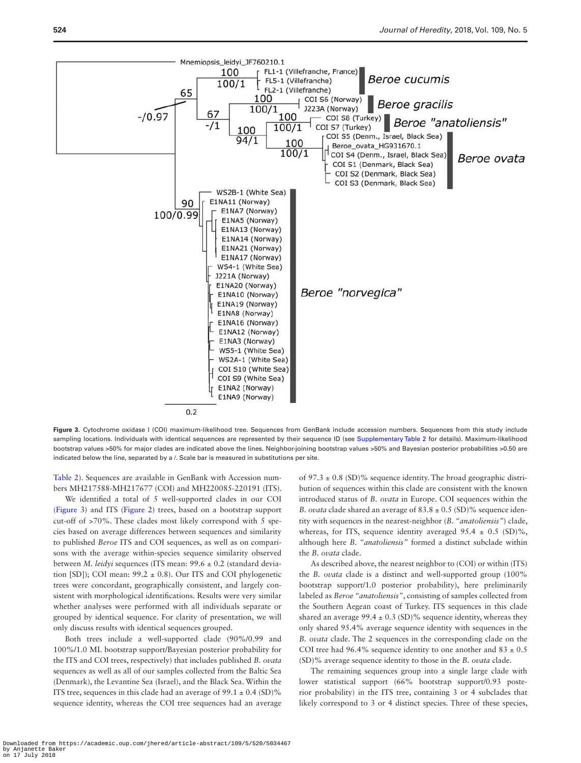

<span id="page-4-0"></span>**Figure 3.** Cytochrome oxidase I (COI) maximum-likelihood tree. Sequences from GenBank include accession numbers. Sequences from this study include sampling locations. Individuals with identical sequences are represented by their sequence ID (see [Supplementary Table 2](http://academic.oup.com/jhered/article-lookup/doi/10.1093/jhered/esy026#supplementary-data) for details). Maximum-likelihood bootstrap values >50% for major clades are indicated above the lines. Neighbor-joining bootstrap values >50% and Bayesian posterior probabilities >0.50 are indicated below the line, separated by a /. Scale bar is measured in substitutions per site.

[Table 2\)](http://academic.oup.com/jhered/article-lookup/doi/10.1093/jhered/esy026#supplementary-data). Sequences are available in GenBank with Accession numbers MH217588-MH217677 (COI) and MH220085-220191 (ITS).

We identified a total of 5 well-supported clades in our COI [\(Figure 3\)](#page-4-0) and ITS ([Figure 2](#page-3-0)) trees, based on a bootstrap support cut-off of >70%. These clades most likely correspond with 5 species based on average differences between sequences and similarity to published *Beroe* ITS and COI sequences, as well as on comparisons with the average within-species sequence similarity observed between *M. leidyi* sequences (ITS mean: 99.6 ± 0.2 (standard deviation [SD]); COI mean: 99.2 ± 0.8). Our ITS and COI phylogenetic trees were concordant, geographically consistent, and largely consistent with morphological identifications. Results were very similar whether analyses were performed with all individuals separate or grouped by identical sequence. For clarity of presentation, we will only discuss results with identical sequences grouped.

Both trees include a well-supported clade (90%/0.99 and 100%/1.0 ML bootstrap support/Bayesian posterior probability for the ITS and COI trees, respectively) that includes published *B. ovata* sequences as well as all of our samples collected from the Baltic Sea (Denmark), the Levantine Sea (Israel), and the Black Sea. Within the ITS tree, sequences in this clade had an average of  $99.1 \pm 0.4$  (SD)% sequence identity, whereas the COI tree sequences had an average of 97.3  $\pm$  0.8 (SD)% sequence identity. The broad geographic distribution of sequences within this clade are consistent with the known introduced status of *B. ovata* in Europe. COI sequences within the *B. ovata* clade shared an average of  $83.8 \pm 0.5$  (SD)% sequence identity with sequences in the nearest-neighbor (*B. "anatoliensis"*) clade, whereas, for ITS, sequence identity averaged  $95.4 \pm 0.5$  (SD)%, although here *B. "anatoliensis"* formed a distinct subclade within the *B. ovata* clade.

As described above, the nearest neighbor to (COI) or within (ITS) the *B. ovata* clade is a distinct and well-supported group (100% bootstrap support/1.0 posterior probability), here preliminarily labeled as *Beroe "anatoliensis"*, consisting of samples collected from the Southern Aegean coast of Turkey. ITS sequences in this clade shared an average 99.4  $\pm$  0.3 (SD)% sequence identity, whereas they only shared 95.4% average sequence identity with sequences in the *B. ovata* clade. The 2 sequences in the corresponding clade on the COI tree had 96.4% sequence identity to one another and 83  $\pm$  0.5 (SD)% average sequence identity to those in the *B. ovata* clade.

The remaining sequences group into a single large clade with lower statistical support (66% bootstrap support/0.93 posterior probability) in the ITS tree, containing 3 or 4 subclades that likely correspond to 3 or 4 distinct species. Three of these species,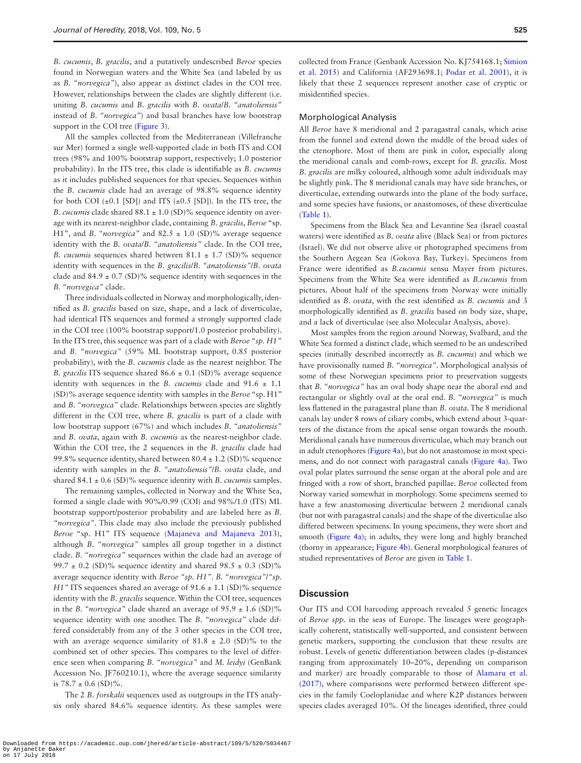*B. cucumis*, *B. gracilis*, and a putatively undescribed *Beroe* species found in Norwegian waters and the White Sea (and labeled by us as *B. "norvegica"*), also appear as distinct clades in the COI tree. However, relationships between the clades are slightly different (i.e. uniting *B. cucumis* and *B. gracilis* with *B. ovata*/*B. "anatoliensis"* instead of *B. "norvegica"*) and basal branches have low bootstrap support in the COI tree [\(Figure 3\)](#page-4-0).

All the samples collected from the Mediterranean (Villefranche sur Mer) formed a single well-supported clade in both ITS and COI trees (98% and 100% bootstrap support, respectively; 1.0 posterior probability). In the ITS tree, this clade is identifiable as *B. cucumis* as it includes published sequences for that species. Sequences within the *B. cucumis* clade had an average of 98.8% sequence identity for both COI  $(\pm 0.1$  [SD]) and ITS  $(\pm 0.5$  [SD]). In the ITS tree, the *B. cucumis* clade shared 88.1 ± 1.0 (SD)% sequence identity on average with its nearest-neighbor clade, containing *B. gracilis*, *Beroe* "sp. H1", and *B. "norvegica"* and 82.5 ± 1.0 (SD)% average sequence identity with the *B. ovata*/*B. "anatoliensis"* clade. In the COI tree, *B. cucumis* sequences shared between  $81.1 \pm 1.7$  (SD)% sequence identity with sequences in the *B. gracilis*/*B. "anatoliensis"*/*B. ovata* clade and  $84.9 \pm 0.7$  (SD)% sequence identity with sequences in the *B. "norvegica"* clade.

Three individuals collected in Norway and morphologically, identified as *B. gracilis* based on size, shape, and a lack of diverticulae, had identical ITS sequences and formed a strongly supported clade in the COI tree (100% bootstrap support/1.0 posterior probability). In the ITS tree, this sequence was part of a clade with *Beroe "sp. H1"* and *B. "norvegica"* (59% ML bootstrap support, 0.85 posterior probability), with the *B. cucumis* clade as the nearest neighbor. The *B. gracilis* ITS sequence shared  $86.6 \pm 0.1$  (SD)% average sequence identity with sequences in the *B. cucumis* clade and  $91.6 \pm 1.1$ (SD)% average sequence identity with samples in the *Beroe* "sp. H1" and *B. "norvegica"* clade. Relationships between species are slightly different in the COI tree, where *B. gracilis* is part of a clade with low bootstrap support (67%) and which includes *B. "anatoliensis"* and *B. ovata*, again with *B. cucumis* as the nearest-neighbor clade. Within the COI tree, the 2 sequences in the *B. gracilis* clade had 99.8% sequence identity, shared between 80.4 ± 1.2 (SD)% sequence identity with samples in the *B. "anatoliensis"*/*B. ovata* clade, and shared 84.1 ± 0.6 (SD)% sequence identity with *B. cucumis* samples.

The remaining samples, collected in Norway and the White Sea, formed a single clade with 90%/0.99 (COI) and 98%/1.0 (ITS) ML bootstrap support/posterior probability and are labeled here as *B. "norvegica"*. This clade may also include the previously published *Beroe* "sp. H1" ITS sequence [\(Majaneva and Majaneva 2013](#page-8-23)), although *B. "norvegica"* samples all group together in a distinct clade. *B. "norvegica"* sequences within the clade had an average of 99.7  $\pm$  0.2 (SD)% sequence identity and shared 98.5  $\pm$  0.3 (SD)% average sequence identity with *Beroe "sp. H1"*. *B. "norvegica"*/*"sp. H1*" ITS sequences shared an average of 91.6  $\pm$  1.1 (SD)% sequence identity with the *B. gracilis* sequence. Within the COI tree, sequences in the *B*. "*norvegica*" clade shared an average of  $95.9 \pm 1.6$  (SD)% sequence identity with one another. The *B. "norvegica"* clade differed considerably from any of the 3 other species in the COI tree, with an average sequence similarity of  $81.8 \pm 2.0$  (SD)% to the combined set of other species. This compares to the level of difference seen when comparing *B. "norvegica"* and *M. leidyi* (GenBank Accession No. JF760210.1), where the average sequence similarity is  $78.7 \pm 0.6$  (SD)%.

The 2 *B. forskalii* sequences used as outgroups in the ITS analysis only shared 84.6% sequence identity. As these samples were collected from France (Genbank Accession No. KJ754168.1; [Simion](#page-9-22)  [et al. 2015](#page-9-22)) and California (AF293698.1; [Podar et al. 2001](#page-9-5)), it is likely that these 2 sequences represent another case of cryptic or misidentified species.

#### Morphological Analysis

All *Beroe* have 8 meridional and 2 paragastral canals, which arise from the funnel and extend down the middle of the broad sides of the ctenophore. Most of them are pink in color, especially along the meridional canals and comb-rows, except for *B. gracilis*. Most *B. gracilis* are milky coloured, although some adult individuals may be slightly pink. The 8 meridional canals may have side branches, or diverticulae, extending outwards into the plane of the body surface, and some species have fusions, or anastomoses, of these diverticulae [\(Table 1\)](#page-6-0).

Specimens from the Black Sea and Levantine Sea (Israel coastal waters) were identified as *B. ovata* alive (Black Sea) or from pictures (Israel). We did not observe alive or photographed specimens from the Southern Aegean Sea (Gokova Bay, Turkey). Specimens from France were identified as *B.cucumis* sensu Mayer from pictures. Specimens from the White Sea were identified as *B.cucumis* from pictures. About half of the specimens from Norway were initially identified as *B. ovata*, with the rest identified as *B. cucumis* and 3 morphologically identified as *B. gracilis* based on body size, shape, and a lack of diverticulae (see also Molecular Analysis, above).

Most samples from the region around Norway, Svalbard, and the White Sea formed a distinct clade, which seemed to be an undescribed species (initially described incorrectly as *B. cucumis*) and which we have provisionally named *B. "norvegica"*. Morphological analysis of some of these Norwegian specimens prior to preservation suggests that *B. "norvegica"* has an oval body shape near the aboral end and rectangular or slightly oval at the oral end. *B. "norvegica"* is much less flattened in the paragastral plane than *B. ovata*. The 8 meridional canals lay under 8 rows of ciliary combs, which extend about 3-quarters of the distance from the apical sense organ towards the mouth. Meridional canals have numerous diverticulae, which may branch out in adult ctenophores [\(Figure 4a\)](#page-6-1), but do not anastomose in most specimens, and do not connect with paragastral canals ([Figure 4a](#page-6-1)). Two oval polar plates surround the sense organ at the aboral pole and are fringed with a row of short, branched papillae. *Beroe* collected from Norway varied somewhat in morphology. Some specimens seemed to have a few anastomosing diverticulae between 2 meridional canals (but not with paragastral canals) and the shape of the diverticulae also differed between specimens. In young specimens, they were short and smooth ([Figure 4a\)](#page-6-1); in adults, they were long and highly branched (thorny in appearance; [Figure 4b\)](#page-6-1). General morphological features of studied representatives of *Beroe* are given in [Table 1.](#page-6-0)

#### **Discussion**

Our ITS and COI barcoding approach revealed 5 genetic lineages of *Beroe spp.* in the seas of Europe. The lineages were geographically coherent, statistically well-supported, and consistent between genetic markers, supporting the conclusion that these results are robust. Levels of genetic differentiation between clades (p-distances ranging from approximately 10–20%, depending on comparison and marker) are broadly comparable to those of [Alamaru et al.](#page-8-29)  [\(2017\),](#page-8-29) where comparisons were performed between different species in the family Coeloplanidae and where K2P distances between species clades averaged 10%. Of the lineages identified, three could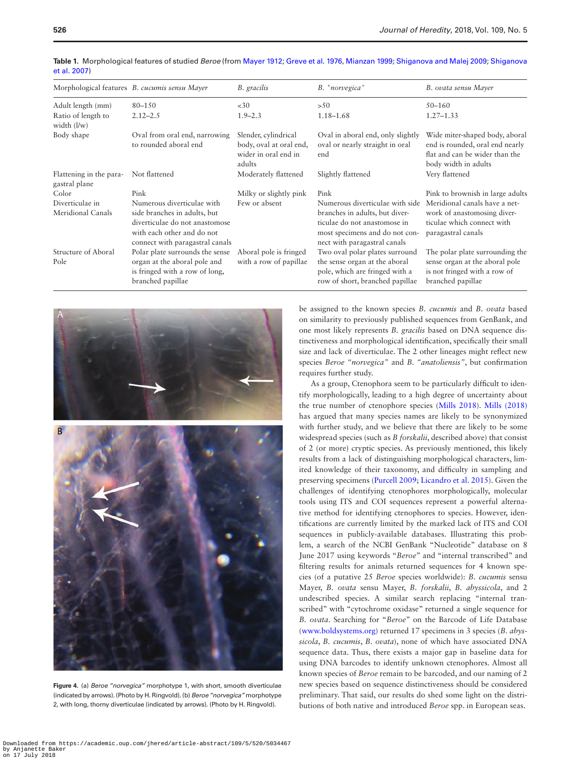|                                           | Morphological features B. cucumis sensu Mayer                                                                                                                 | B. gracilis                                                                       | B. "norvegica"                                                                                                                                                      | B. ovata sensu Mayer                                                                                                        |
|-------------------------------------------|---------------------------------------------------------------------------------------------------------------------------------------------------------------|-----------------------------------------------------------------------------------|---------------------------------------------------------------------------------------------------------------------------------------------------------------------|-----------------------------------------------------------------------------------------------------------------------------|
| Adult length (mm)                         | 80-150                                                                                                                                                        | <30                                                                               | >50                                                                                                                                                                 | $50 - 160$                                                                                                                  |
| Ratio of length to<br>width $\frac{1}{w}$ | $2.12 - 2.5$                                                                                                                                                  | $1.9 - 2.3$                                                                       | $1.18 - 1.68$                                                                                                                                                       | $1.27 - 1.33$                                                                                                               |
| Body shape                                | Oval from oral end, narrowing<br>to rounded aboral end                                                                                                        | Slender, cylindrical<br>body, oval at oral end,<br>wider in oral end in<br>adults | Oval in aboral end, only slightly<br>oval or nearly straight in oral<br>end                                                                                         | Wide miter-shaped body, aboral<br>end is rounded, oral end nearly<br>flat and can be wider than the<br>body width in adults |
| Flattening in the para-<br>gastral plane  | Not flattened                                                                                                                                                 | Moderately flattened                                                              | Slightly flattened                                                                                                                                                  | Very flattened                                                                                                              |
| Color                                     | Pink                                                                                                                                                          | Milky or slightly pink                                                            | Pink                                                                                                                                                                | Pink to brownish in large adults                                                                                            |
| Diverticulae in<br>Meridional Canals      | Numerous diverticulae with<br>side branches in adults, but<br>diverticulae do not anastomose<br>with each other and do not<br>connect with paragastral canals | Few or absent                                                                     | Numerous diverticulae with side<br>branches in adults, but diver-<br>ticulae do not anastomose in<br>most specimens and do not con-<br>nect with paragastral canals | Meridional canals have a net-<br>work of anastomosing diver-<br>ticulae which connect with<br>paragastral canals            |
| Structure of Aboral<br>Pole               | Polar plate surrounds the sense<br>organ at the aboral pole and<br>is fringed with a row of long,<br>branched papillae                                        | Aboral pole is fringed<br>with a row of papillae                                  | Two oval polar plates surround<br>the sense organ at the aboral<br>pole, which are fringed with a<br>row of short, branched papillae                                | The polar plate surrounding the<br>sense organ at the aboral pole<br>is not fringed with a row of<br>branched papillae      |

<span id="page-6-0"></span>

|              | Table 1. Morphological features of studied Beroe (from Mayer 1912; Greve et al. 1976, Mianzan 1999; Shiganova and Malej 2009; Shiganova |  |  |
|--------------|-----------------------------------------------------------------------------------------------------------------------------------------|--|--|
| et al. 2007) |                                                                                                                                         |  |  |

<span id="page-6-1"></span>

**Figure 4.** (a) *Beroe "norvegica"* morphotype 1, with short, smooth diverticulae (indicated by arrows). (Photo by H. Ringvold). (b) *Beroe "norvegica"* morphotype 2, with long, thorny diverticulae (indicated by arrows). (Photo by H. Ringvold).

be assigned to the known species *B. cucumis* and *B. ovata* based on similarity to previously published sequences from GenBank, and one most likely represents *B. gracilis* based on DNA sequence distinctiveness and morphological identification, specifically their small size and lack of diverticulae. The 2 other lineages might reflect new species *Beroe "norvegica"* and *B. "anatoliensis"*, but confirmation requires further study.

As a group, Ctenophora seem to be particularly difficult to identify morphologically, leading to a high degree of uncertainty about the true number of ctenophore species ([Mills 2018\)](#page-9-8). [Mills \(2018\)](#page-9-8) has argued that many species names are likely to be synonymized with further study, and we believe that there are likely to be some widespread species (such as *B forskalii*, described above) that consist of 2 (or more) cryptic species. As previously mentioned, this likely results from a lack of distinguishing morphological characters, limited knowledge of their taxonomy, and difficulty in sampling and preserving specimens ([Purcell 2009](#page-9-4); [Licandro et al. 2015\)](#page-8-5). Given the challenges of identifying ctenophores morphologically, molecular tools using ITS and COI sequences represent a powerful alternative method for identifying ctenophores to species. However, identifications are currently limited by the marked lack of ITS and COI sequences in publicly-available databases. Illustrating this problem, a search of the NCBI GenBank "Nucleotide" database on 8 June 2017 using keywords "*Beroe*" and "internal transcribed" and filtering results for animals returned sequences for 4 known species (of a putative 25 *Beroe* species worldwide): *B. cucumis* sensu Mayer, *B. ovata* sensu Mayer, *B. forskalii*, *B. abyssicola*, and 2 undescribed species. A similar search replacing "internal transcribed" with "cytochrome oxidase" returned a single sequence for *B. ovata*. Searching for "*Beroe*" on the Barcode of Life Database [\(www.boldsystems.org](http://www.boldsystems.org)) returned 17 specimens in 3 species (*B. abyssicola*, *B. cucumis*, *B. ovata*), none of which have associated DNA sequence data. Thus, there exists a major gap in baseline data for using DNA barcodes to identify unknown ctenophores. Almost all known species of *Beroe* remain to be barcoded, and our naming of 2 new species based on sequence distinctiveness should be considered preliminary. That said, our results do shed some light on the distributions of both native and introduced *Beroe* spp. in European seas.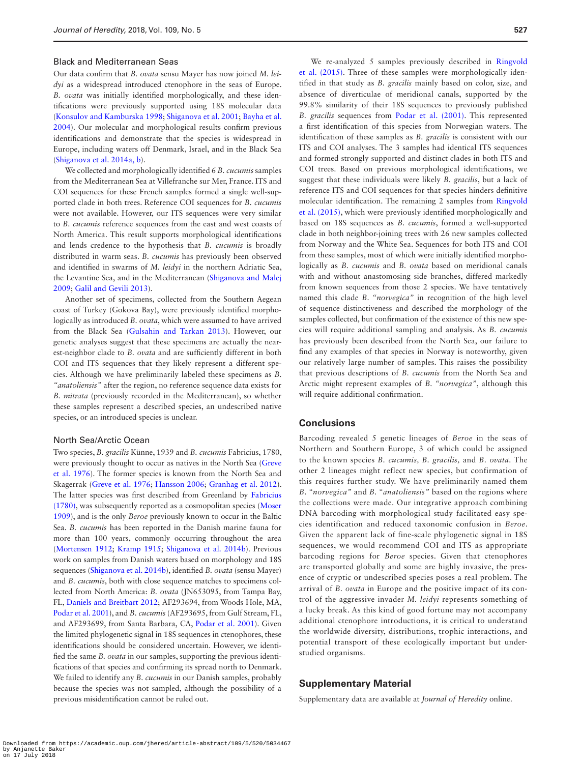#### Black and Mediterranean Seas

Our data confirm that *B. ovata* sensu Mayer has now joined *M. leidyi* as a widespread introduced ctenophore in the seas of Europe. *B. ovata* was initially identified morphologically, and these identifications were previously supported using 18S molecular data [\(Konsulov and Kamburska 1998;](#page-8-18) [Shiganova et al. 2001;](#page-9-9) [Bayha et al.](#page-8-21)  [2004](#page-8-21)). Our molecular and morphological results confirm previous identifications and demonstrate that the species is widespread in Europe, including waters off Denmark, Israel, and in the Black Sea [\(Shiganova et al. 2014a, b](#page-9-12)).

We collected and morphologically identified 6 *B. cucumis* samples from the Mediterranean Sea at Villefranche sur Mer, France. ITS and COI sequences for these French samples formed a single well-supported clade in both trees. Reference COI sequences for *B. cucumis* were not available. However, our ITS sequences were very similar to *B. cucumis* reference sequences from the east and west coasts of North America. This result supports morphological identifications and lends credence to the hypothesis that *B. cucumis* is broadly distributed in warm seas. *B. cucumis* has previously been observed and identified in swarms of *M. leidyi* in the northern Adriatic Sea, the Levantine Sea, and in the Mediterranean ([Shiganova and Malej](#page-9-16)  [2009](#page-9-16); [Galil and Gevili 2013\)](#page-8-30).

Another set of specimens, collected from the Southern Aegean coast of Turkey (Gokova Bay), were previously identified morphologically as introduced *B. ovata*, which were assumed to have arrived from the Black Sea [\(Gulsahin and Tarkan 2013](#page-8-31)). However, our genetic analyses suggest that these specimens are actually the nearest-neighbor clade to *B. ovata* and are sufficiently different in both COI and ITS sequences that they likely represent a different species. Although we have preliminarily labeled these specimens as *B. "anatoliensis"* after the region, no reference sequence data exists for *B. mitrata* (previously recorded in the Mediterranean), so whether these samples represent a described species, an undescribed native species, or an introduced species is unclear.

#### North Sea/Arctic Ocean

Two species, *B. gracilis* Künne, 1939 and *B. cucumis* Fabricius, 1780, were previously thought to occur as natives in the North Sea [\(Greve](#page-8-19)  [et al. 1976\)](#page-8-19). The former species is known from the North Sea and Skagerrak [\(Greve et al. 1976](#page-8-19); [Hansson 2006](#page-8-32); [Granhag et al. 2012](#page-8-33)). The latter species was first described from Greenland by [Fabricius](#page-8-0)  [\(1780\),](#page-8-0) was subsequently reported as a cosmopolitan species ([Moser](#page-9-23)  [1909](#page-9-23)), and is the only *Beroe* previously known to occur in the Baltic Sea. *B. cucumis* has been reported in the Danish marine fauna for more than 100 years, commonly occurring throughout the area [\(Mortensen 1912](#page-9-24); [Kramp 1915](#page-8-34); [Shiganova et al. 2014b\)](#page-9-20). Previous work on samples from Danish waters based on morphology and 18S sequences ([Shiganova et al. 2014b](#page-9-20)), identified *B. ovata* (sensu Mayer) and *B. cucumis*, both with close sequence matches to specimens collected from North America: *B. ovata* (JN653095, from Tampa Bay, FL, [Daniels and Breitbart 2012;](#page-8-35) AF293694, from Woods Hole, MA, [Podar et al. 2001\)](#page-9-5), and *B. cucumis* (AF293695, from Gulf Stream, FL, and AF293699, from Santa Barbara, CA, [Podar et al. 2001\)](#page-9-5). Given the limited phylogenetic signal in 18S sequences in ctenophores, these identifications should be considered uncertain. However, we identified the same *B. ovata* in our samples, supporting the previous identifications of that species and confirming its spread north to Denmark. We failed to identify any *B. cucumis* in our Danish samples, probably because the species was not sampled, although the possibility of a previous misidentification cannot be ruled out.

We re-analyzed 5 samples previously described in [Ringvold](#page-9-25)  et al. (2015). Three of these samples were morphologically identified in that study as *B. gracilis* mainly based on color, size, and absence of diverticulae of meridional canals, supported by the 99.8% similarity of their 18S sequences to previously published *B. gracilis* sequences from [Podar et al. \(2001\).](#page-9-5) This represented a first identification of this species from Norwegian waters. The identification of these samples as *B. gracilis* is consistent with our ITS and COI analyses. The 3 samples had identical ITS sequences and formed strongly supported and distinct clades in both ITS and COI trees. Based on previous morphological identifications, we suggest that these individuals were likely *B. gracilis*, but a lack of reference ITS and COI sequences for that species hinders definitive molecular identification. The remaining 2 samples from [Ringvold](#page-9-25)  [et al. \(2015\)](#page-9-25), which were previously identified morphologically and based on 18S sequences as *B. cucumis*, formed a well-supported clade in both neighbor-joining trees with 26 new samples collected from Norway and the White Sea. Sequences for both ITS and COI from these samples, most of which were initially identified morphologically as *B. cucumis* and *B. ovata* based on meridional canals with and without anastomosing side branches, differed markedly from known sequences from those 2 species. We have tentatively named this clade *B. "norvegica"* in recognition of the high level of sequence distinctiveness and described the morphology of the samples collected, but confirmation of the existence of this new species will require additional sampling and analysis. As *B. cucumis* has previously been described from the North Sea, our failure to find any examples of that species in Norway is noteworthy, given our relatively large number of samples. This raises the possibility that previous descriptions of *B. cucumis* from the North Sea and Arctic might represent examples of *B. "norvegica"*, although this will require additional confirmation.

#### **Conclusions**

Barcoding revealed 5 genetic lineages of *Beroe* in the seas of Northern and Southern Europe, 3 of which could be assigned to the known species *B. cucumis, B. gracilis,* and *B. ovata.* The other 2 lineages might reflect new species, but confirmation of this requires further study. We have preliminarily named them *B. "norvegica"* and *B. "anatoliensis"* based on the regions where the collections were made. Our integrative approach combining DNA barcoding with morphological study facilitated easy species identification and reduced taxonomic confusion in *Beroe*. Given the apparent lack of fine-scale phylogenetic signal in 18S sequences, we would recommend COI and ITS as appropriate barcoding regions for *Beroe* species. Given that ctenophores are transported globally and some are highly invasive, the presence of cryptic or undescribed species poses a real problem. The arrival of *B. ovata* in Europe and the positive impact of its control of the aggressive invader *M. leidyi* represents something of a lucky break. As this kind of good fortune may not accompany additional ctenophore introductions, it is critical to understand the worldwide diversity, distributions, trophic interactions, and potential transport of these ecologically important but understudied organisms.

#### **Supplementary Material**

Supplementary data are available at *Journal of Heredity* online.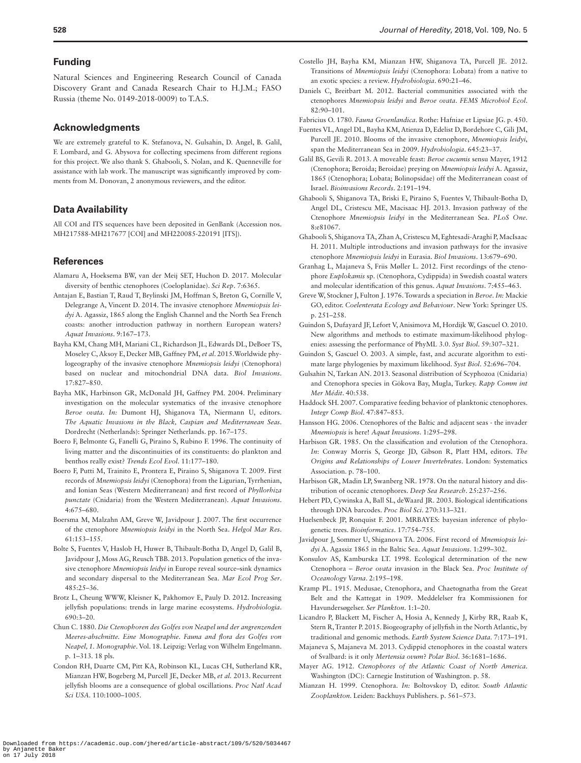#### **Funding**

Natural Sciences and Engineering Research Council of Canada Discovery Grant and Canada Research Chair to H.J.M.; FASO Russia (theme No. 0149-2018-0009) to T.A.S.

#### **Acknowledgments**

We are extremely grateful to K. Stefanova, N. Gulsahin, D. Angel, B. Galil, F. Lombard, and G. Abysova for collecting specimens from different regions for this project. We also thank S. Ghabooli, S. Nolan, and K. Quenneville for assistance with lab work. The manuscript was significantly improved by comments from M. Donovan, 2 anonymous reviewers, and the editor.

#### **Data Availability**

All COI and ITS sequences have been deposited in GenBank (Accession nos. MH217588-MH217677 [COI] and MH220085-220191 [ITS]).

#### **References**

- <span id="page-8-29"></span>Alamaru A, Hoeksema BW, van der Meij SET, Huchon D. 2017. Molecular diversity of benthic ctenophores (Coeloplanidae). *Sci Rep*. 7:6365.
- <span id="page-8-13"></span>Antajan E, Bastian T, Raud T, Brylinski JM, Hoffman S, Breton G, Cornille V, Delegrange A, Vincent D. 2014. The invasive ctenophore *Mnemiopsis leidyi* A. Agassiz, 1865 along the English Channel and the North Sea French coasts: another introduction pathway in northern European waters? *Aquat Invasions*. 9:167–173.
- <span id="page-8-17"></span>Bayha KM, Chang MH, Mariani CL, Richardson JL, Edwards DL, DeBoer TS, Moseley C, Aksoy E, Decker MB, Gaffney PM, *et al*. 2015.Worldwide phylogeography of the invasive ctenophore *Mnemiopsis leidyi* (Ctenophora) based on nuclear and mitochondrial DNA data. *Biol Invasions*. 17:827–850.
- <span id="page-8-21"></span>Bayha MK, Harbinson GR, McDonald JH, Gaffney PM. 2004. Preliminary investigation on the molecular systematics of the invasive ctenophore *Beroe ovata*. *In:* Dumont HJ, Shiganova TA, Niermann U, editors. *The Aquatic Invasions in the Black, Caspian and Mediterranean Seas*. Dordrecht (Netherlands): Springer Netherlands. pp. 167–175.
- <span id="page-8-3"></span>Boero F, Belmonte G, Fanelli G, Piraino S, Rubino F. 1996. The continuity of living matter and the discontinuities of its constituents: do plankton and benthos really exist? *Trends Ecol Evol*. 11:177–180.
- <span id="page-8-11"></span>Boero F, Putti M, Trainito E, Prontera E, Piraino S, Shiganova T. 2009. First records of *Mnemiopsis leidyi* (Ctenophora) from the Ligurian, Tyrrhenian, and Ionian Seas (Western Mediterranean) and first record of *Phyllorhiza punctate* (Cnidaria) from the Western Mediterranean). *Aquat Invasions*. 4:675–680.
- <span id="page-8-10"></span>Boersma M, Malzahn AM, Greve W, Javidpour J. 2007. The first occurrence of the ctenophore *Mnemiopsis leidyi* in the North Sea. *Helgol Mar Res*. 61:153–155.
- <span id="page-8-16"></span>Bolte S, Fuentes V, Haslob H, Huwer B, Thibault-Botha D, Angel D, Galil B, Javidpour J, Moss AG, Reusch TBB. 2013. Population genetics of the invasive ctenophore *Mnemiopsis leidyi* in Europe reveal source–sink dynamics and secondary dispersal to the Mediterranean Sea. *Mar Ecol Prog Ser*. 485:25–36.
- <span id="page-8-4"></span>Brotz L, Cheung WWW, Kleisner K, Pakhomov E, Pauly D. 2012. Increasing jellyfish populations: trends in large marine ecosystems. *Hydrobiologia*. 690:3–20.
- <span id="page-8-24"></span>Chun C. 1880. *Die Ctenophoren des Golfes von Neapel und der angrenzenden Meeres-abschnitte. Eine Monographie. Fauna and flora des Golfes von Neapel, 1. Monographie*. Vol. 18. Leipzig: Verlag von Wilhelm Engelmann. p. 1–313. 18 pls.
- <span id="page-8-6"></span>Condon RH, Duarte CM, Pitt KA, Robinson KL, Lucas CH, Sutherland KR, Mianzan HW, Bogeberg M, Purcell JE, Decker MB, *et al.* 2013. Recurrent jellyfish blooms are a consequence of global oscillations. *Proc Natl Acad Sci USA*. 110:1000–1005.
- <span id="page-8-2"></span>Costello JH, Bayha KM, Mianzan HW, Shiganova TA, Purcell JE. 2012. Transitions of *Mnemiopsis leidyi* (Ctenophora: Lobata) from a native to an exotic species: a review. *Hydrobiologia*. 690:21–46.
- <span id="page-8-35"></span>Daniels C, Breitbart M. 2012. Bacterial communities associated with the ctenophores *Mnemiopsis leidyi* and *Beroe ovata*. *FEMS Microbiol Ecol*. 82:90–101.
- <span id="page-8-0"></span>Fabricius O. 1780. *Fauna Groenlandica*. Rothe: Hafniae et Lipsiae JG. p. 450.
- <span id="page-8-12"></span>Fuentes VL, Angel DL, Bayha KM, Atienza D, Edelist D, Bordehore C, Gili JM, Purcell JE. 2010. Blooms of the invasive ctenophore, *Mnemiopsis leidyi*, span the Mediterranean Sea in 2009. *Hydrobiologia*. 645:23–37.
- <span id="page-8-30"></span>Galil BS, Gevili R. 2013. A moveable feast: *Beroe cucumis* sensu Mayer, 1912 (Ctenophora; Beroida; Beroidae) preying on *Mnemiopsis leidyi* A. Agassiz, 1865 (Ctenophora; Lobata; Bolinopsidae) off the Mediterranean coast of Israel. *Bioinvasions Records*. 2:191–194.
- <span id="page-8-15"></span>Ghabooli S, Shiganova TA, Briski E, Piraino S, Fuentes V, Thibault-Botha D, Angel DL, Cristescu ME, Macisaac HJ. 2013. Invasion pathway of the Ctenophore *Mnemiopsis leidyi* in the Mediterranean Sea. *PLoS One*. 8:e81067.
- <span id="page-8-14"></span>Ghabooli S, Shiganova TA, Zhan A, Cristescu M, Eghtesadi-Araghi P, MacIsaac H. 2011. Multiple introductions and invasion pathways for the invasive ctenophore *Mnemiopsis leidyi* in Eurasia. *Biol Invasions*. 13:679–690.
- <span id="page-8-33"></span>Granhag L, Majaneva S, Friis Møller L. 2012. First recordings of the ctenophore *Euplokamis* sp. (Ctenophora, Cydippida) in Swedish coastal waters and molecular identification of this genus. *Aquat Invasions*. 7:455–463.
- <span id="page-8-19"></span>Greve W, Stockner J, Fulton J. 1976. Towards a speciation in *Beroe*. *In:* Mackie GO, editor. *Coelenterata Ecology and Behaviour*. New York: Springer US. p. 251–258.
- <span id="page-8-27"></span>Guindon S, Dufayard JF, Lefort V, Anisimova M, Hordijk W, Gascuel O. 2010. New algorithms and methods to estimate maximum-likelihood phylogenies: assessing the performance of PhyML 3.0. *Syst Biol*. 59:307–321.
- <span id="page-8-26"></span>Guindon S, Gascuel O. 2003. A simple, fast, and accurate algorithm to estimate large phylogenies by maximum likelihood. *Syst Biol*. 52:696–704.
- <span id="page-8-31"></span>Gulsahin N, Tarkan AN. 2013. Seasonal distribution of Scyphozoa (Cnidaria) and Ctenophora species in Gökova Bay, Mugla, Turkey. *Rapp Comm int Mer Médit*. 40:538.
- <span id="page-8-7"></span>Haddock SH. 2007. Comparative feeding behavior of planktonic ctenophores. *Integr Comp Biol*. 47:847–853.
- <span id="page-8-32"></span>Hansson HG. 2006. Ctenophores of the Baltic and adjacent seas - the invader *Mnemiopsis* is here! *Aquat Invasions*. 1:295–298.
- <span id="page-8-8"></span>Harbison GR. 1985. On the classification and evolution of the Ctenophora. *In*: Conway Morris S, George JD, Gibson R, Platt HM, editors. *The Origins and Relationships of Lower Invertebrates*. London: Systematics Association. p. 78–100.
- <span id="page-8-22"></span>Harbison GR, Madin LP, Swanberg NR. 1978. On the natural history and distribution of oceanic ctenophores. *Deep Sea Research*. 25:237–256.
- <span id="page-8-25"></span>Hebert PD, Cywinska A, Ball SL, deWaard JR. 2003. Biological identifications through DNA barcodes. *Proc Biol Sci*. 270:313–321.
- <span id="page-8-28"></span>Huelsenbeck JP, Ronquist F. 2001. MRBAYES: bayesian inference of phylogenetic trees. *Bioinformatics*. 17:754–755.
- <span id="page-8-9"></span>Javidpour J, Sommer U, Shiganova TA. 2006. First record of *Mnemiopsis leidyi* A. Agassiz 1865 in the Baltic Sea. *Aquat Invasions*. 1:299–302.
- <span id="page-8-18"></span>Konsulov AS, Kamburska LT. 1998. Ecological determination of the new Ctenophora – *Beroe ovata* invasion in the Black Sea. *Proc Institute of Oceanology Varna*. 2:195–198.
- <span id="page-8-34"></span>Kramp PL. 1915. Medusae, Ctenophora, and Chaetognatha from the Great Belt and the Kattegat in 1909. Meddelelser fra Kommissionen for Havundersøgelser. *Ser Plankton*. 1:1–20.

<span id="page-8-5"></span>Licandro P, Blackett M, Fischer A, Hosia A, Kennedy J, Kirby RR, Raab K, Stern R, Tranter P. 2015. Biogeography of jellyfish in the North Atlantic, by traditional and genomic methods. *Earth System Science Data*. 7:173–191.

- <span id="page-8-23"></span>Majaneva S, Majaneva M. 2013. Cydippid ctenophores in the coastal waters of Svalbard: is it only *Mertensia ovum*? *Polar Biol*. 36:1681–1686.
- <span id="page-8-1"></span>Mayer AG. 1912. *Ctenophores of the Atlantic Coast of North America*. Washington (DC): Carnegie Institution of Washington. p. 58.
- <span id="page-8-20"></span>Mianzan H. 1999. Ctenophora. *In:* Boltovskoy D, editor. *South Atlantic Zooplankton*. Leiden: Backhuys Publishers. p. 561–573.